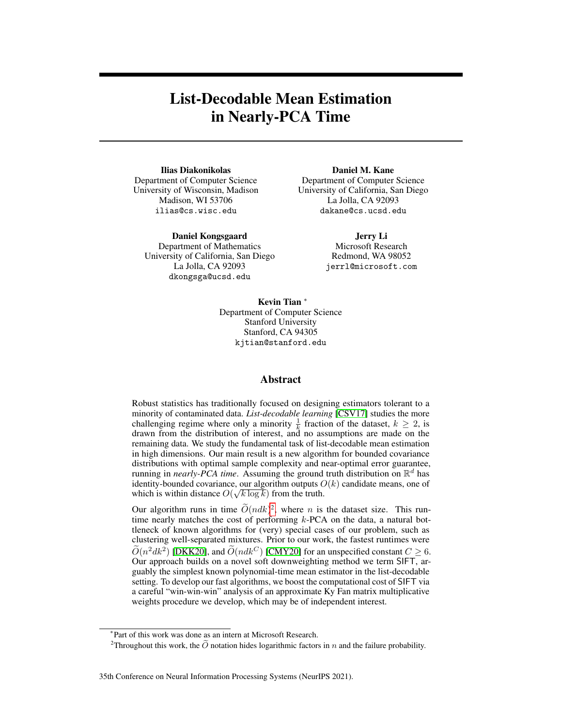# List-Decodable Mean Estimation in Nearly-PCA Time

Ilias Diakonikolas Department of Computer Science University of Wisconsin, Madison Madison, WI 53706 ilias@cs.wisc.edu

Daniel Kongsgaard

Department of Mathematics University of California, San Diego La Jolla, CA 92093 dkongsga@ucsd.edu

Daniel M. Kane Department of Computer Science University of California, San Diego La Jolla, CA 92093 dakane@cs.ucsd.edu

> Jerry Li Microsoft Research Redmond, WA 98052 jerrl@microsoft.com

Kevin Tian <sup>∗</sup> Department of Computer Science Stanford University Stanford, CA 94305 kjtian@stanford.edu

#### Abstract

Robust statistics has traditionally focused on designing estimators tolerant to a minority of contaminated data. *List-decodable learning* [\[CSV17\]](#page-10-0) studies the more challenging regime where only a minority  $\frac{1}{k}$  fraction of the dataset,  $k \ge 2$ , is drawn from the distribution of interest, and no assumptions are made on the remaining data. We study the fundamental task of list-decodable mean estimation in high dimensions. Our main result is a new algorithm for bounded covariance distributions with optimal sample complexity and near-optimal error guarantee, running in *nearly-PCA time*. Assuming the ground truth distribution on  $\mathbb{R}^d$  has identity-bounded covariance, our algorithm outputs  $O(k)$  candidate means, one of which is within distance  $O(\sqrt{k \log k})$  from the truth.

Our algorithm runs in time  $\tilde{O}(ndk)^2$  $\tilde{O}(ndk)^2$ , where *n* is the dataset size. This runtime nearly matches the cost of performing k-PCA on the data, a natural bottleneck of known algorithms for (very) special cases of our problem, such as clustering well-separated mixtures. Prior to our work, the fastest runtimes were  $\widetilde{O}(n^2 d k^2)$  [\[DKK20\]](#page-10-1), and  $\widetilde{O}(n d k^C)$  [\[CMY20\]](#page-10-2) for an unspecified constant  $C \ge 6$ . Our approach builds on a novel soft downweighting method we term SIFT, arguably the simplest known polynomial-time mean estimator in the list-decodable setting. To develop our fast algorithms, we boost the computational cost of SIFT via a careful "win-win-win" analysis of an approximate Ky Fan matrix multiplicative weights procedure we develop, which may be of independent interest.

<sup>∗</sup> Part of this work was done as an intern at Microsoft Research.

<span id="page-0-0"></span><sup>&</sup>lt;sup>2</sup>Throughout this work, the  $\tilde{O}$  notation hides logarithmic factors in n and the failure probability.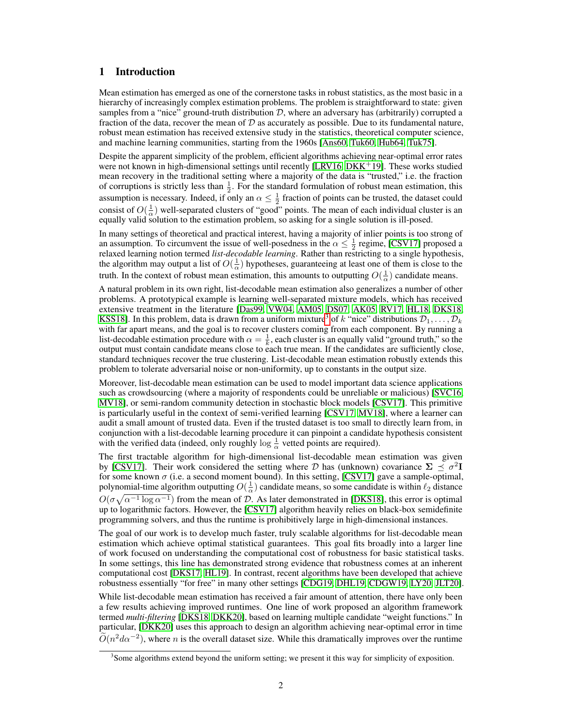## 1 Introduction

Mean estimation has emerged as one of the cornerstone tasks in robust statistics, as the most basic in a hierarchy of increasingly complex estimation problems. The problem is straightforward to state: given samples from a "nice" ground-truth distribution  $\mathcal{D}$ , where an adversary has (arbitrarily) corrupted a fraction of the data, recover the mean of  $D$  as accurately as possible. Due to its fundamental nature, robust mean estimation has received extensive study in the statistics, theoretical computer science, and machine learning communities, starting from the 1960s [\[Ans60,](#page-10-3) [Tuk60,](#page-12-0) [Hub64,](#page-11-0) [Tuk75\]](#page-12-1).

Despite the apparent simplicity of the problem, efficient algorithms achieving near-optimal error rates were not known in high-dimensional settings until recently [\[LRV16,](#page-11-1) [DKK](#page-10-4)<sup>+</sup>19]. These works studied mean recovery in the traditional setting where a majority of the data is "trusted," i.e. the fraction of corruptions is strictly less than  $\frac{1}{2}$ . For the standard formulation of robust mean estimation, this assumption is necessary. Indeed, if only an  $\alpha \leq \frac{1}{2}$  fraction of points can be trusted, the dataset could consist of  $O(\frac{1}{\alpha})$  well-separated clusters of "good" points. The mean of each individual cluster is an equally valid solution to the estimation problem, so asking for a single solution is ill-posed.

In many settings of theoretical and practical interest, having a majority of inlier points is too strong of an assumption. To circumvent the issue of well-posedness in the  $\alpha \leq \frac{1}{2}$  regime, [\[CSV17\]](#page-10-0) proposed a relaxed learning notion termed *list-decodable learning*. Rather than restricting to a single hypothesis, the algorithm may output a list of  $O(\frac{1}{\alpha})$  hypotheses, guaranteeing at least one of them is close to the truth. In the context of robust mean estimation, this amounts to outputting  $O(\frac{1}{\alpha})$  candidate means.

A natural problem in its own right, list-decodable mean estimation also generalizes a number of other problems. A prototypical example is learning well-separated mixture models, which has received extensive treatment in the literature [\[Das99,](#page-10-5) [VW04,](#page-12-2) [AM05,](#page-10-6) [DS07,](#page-11-2) [AK05,](#page-10-7) [RV17,](#page-11-3) [HL18,](#page-11-4) [DKS18,](#page-10-8) [KSS18\]](#page-11-5). In this problem, data is drawn from a uniform mixture<sup>[3](#page-1-0)</sup> of k "nice" distributions  $\mathcal{D}_1, \ldots, \mathcal{D}_k$ with far apart means, and the goal is to recover clusters coming from each component. By running a list-decodable estimation procedure with  $\alpha = \frac{1}{k}$ , each cluster is an equally valid "ground truth," so the output must contain candidate means close to each true mean. If the candidates are sufficiently close, standard techniques recover the true clustering. List-decodable mean estimation robustly extends this problem to tolerate adversarial noise or non-uniformity, up to constants in the output size.

Moreover, list-decodable mean estimation can be used to model important data science applications such as crowdsourcing (where a majority of respondents could be unreliable or malicious) [\[SVC16,](#page-12-3) [MV18\]](#page-11-6), or semi-random community detection in stochastic block models [\[CSV17\]](#page-10-0). This primitive is particularly useful in the context of semi-verified learning [\[CSV17,](#page-10-0) [MV18\]](#page-11-6), where a learner can audit a small amount of trusted data. Even if the trusted dataset is too small to directly learn from, in conjunction with a list-decodable learning procedure it can pinpoint a candidate hypothesis consistent with the verified data (indeed, only roughly  $\log \frac{1}{\alpha}$  vetted points are required).

The first tractable algorithm for high-dimensional list-decodable mean estimation was given by [\[CSV17\]](#page-10-0). Their work considered the setting where D has (unknown) covariance  $\Sigma \preceq \sigma^2 I$ for some known  $\sigma$  (i.e. a second moment bound). In this setting, [\[CSV17\]](#page-10-0) gave a sample-optimal, polynomial-time algorithm outputting  $O(\frac{1}{\alpha})$  candidate means, so some candidate is within  $\ell_2$  distance  $O(\sigma\sqrt{\alpha^{-1}\log \alpha^{-1}})$  from the mean of D. As later demonstrated in [\[DKS18\]](#page-10-8), this error is optimal up to logarithmic factors. However, the [\[CSV17\]](#page-10-0) algorithm heavily relies on black-box semidefinite programming solvers, and thus the runtime is prohibitively large in high-dimensional instances.

The goal of our work is to develop much faster, truly scalable algorithms for list-decodable mean estimation which achieve optimal statistical guarantees. This goal fits broadly into a larger line of work focused on understanding the computational cost of robustness for basic statistical tasks. In some settings, this line has demonstrated strong evidence that robustness comes at an inherent computational cost [\[DKS17,](#page-10-9) [HL19\]](#page-11-7). In contrast, recent algorithms have been developed that achieve robustness essentially "for free" in many other settings [\[CDG19,](#page-10-10) [DHL19,](#page-10-11) [CDGW19,](#page-10-12) [LY20,](#page-11-8) [JLT20\]](#page-11-9).

While list-decodable mean estimation has received a fair amount of attention, there have only been a few results achieving improved runtimes. One line of work proposed an algorithm framework termed *multi-filtering* [\[DKS18,](#page-10-8) [DKK20\]](#page-10-1), based on learning multiple candidate "weight functions." In particular, [\[DKK20\]](#page-10-1) uses this approach to design an algorithm achieving near-optimal error in time  $\tilde{O}(n^2 d\alpha^{-2})$ , where *n* is the overall dataset size. While this dramatically improves over the runtime

<span id="page-1-0"></span><sup>&</sup>lt;sup>3</sup> Some algorithms extend beyond the uniform setting; we present it this way for simplicity of exposition.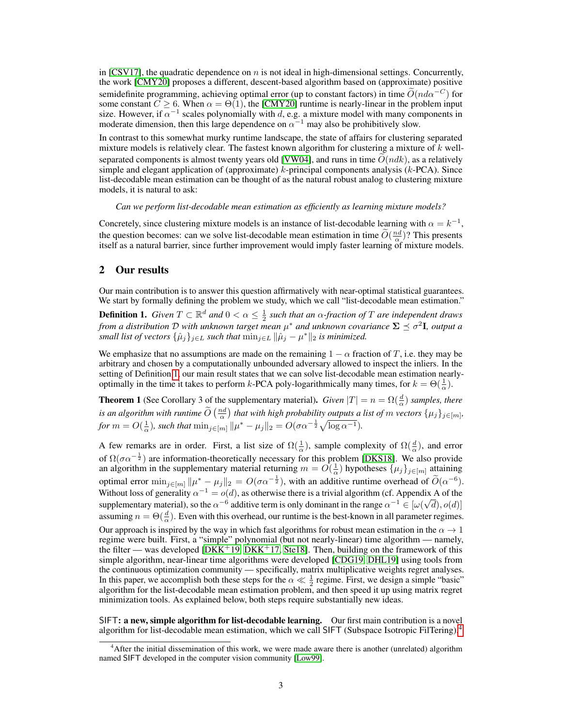in [\[CSV17\]](#page-10-0), the quadratic dependence on n is not ideal in high-dimensional settings. Concurrently, the work [\[CMY20\]](#page-10-2) proposes a different, descent-based algorithm based on (approximate) positive semidefinite programming, achieving optimal error (up to constant factors) in time  $\tilde{O}(nd\alpha^{-C})$  for some constant  $C \ge 6$ . When  $\alpha = \Theta(1)$ , the [\[CMY20\]](#page-10-2) runtime is nearly-linear in the problem input size. However, if  $\alpha^{-1}$  scales polynomially with d, e.g. a mixture model with many components in moderate dimension, then this large dependence on  $\alpha^{-1}$  may also be prohibitively slow.

In contrast to this somewhat murky runtime landscape, the state of affairs for clustering separated mixture models is relatively clear. The fastest known algorithm for clustering a mixture of  $k$  well-separated components is almost twenty years old [\[VW04\]](#page-12-2), and runs in time  $O(ndk)$ , as a relatively simple and elegant application of (approximate)  $k$ -principal components analysis ( $k$ -PCA). Since list-decodable mean estimation can be thought of as the natural robust analog to clustering mixture models, it is natural to ask:

*Can we perform list-decodable mean estimation as efficiently as learning mixture models?*

Concretely, since clustering mixture models is an instance of list-decodable learning with  $\alpha = k^{-1}$ , the question becomes: can we solve list-decodable mean estimation in time  $\widetilde{O}(\frac{nd}{\alpha})$ ? This presents itself as a natural barrier, since further improvement would imply faster learning of mixture models.

#### 2 Our results

Our main contribution is to answer this question affirmatively with near-optimal statistical guarantees. We start by formally defining the problem we study, which we call "list-decodable mean estimation."

<span id="page-2-0"></span>**Definition 1.** Given  $T \subset \mathbb{R}^d$  and  $0 < \alpha \leq \frac{1}{2}$  such that an  $\alpha$ -fraction of  $T$  are independent draws from a distribution D with unknown target mean  $\mu^*$  and unknown covariance  $\boldsymbol{\Sigma} \preceq \sigma^2 \mathbf{I}$ , output a *small list of vectors*  $\{\hat{\mu}_j\}_{j\in L}$  *such that*  $\min_{j\in L} \|\hat{\mu}_j - \mu^*\|_2$  *is minimized.* 

We emphasize that no assumptions are made on the remaining  $1 - \alpha$  fraction of T, i.e. they may be arbitrary and chosen by a computationally unbounded adversary allowed to inspect the inliers. In the setting of Definition [1,](#page-2-0) our main result states that we can solve list-decodable mean estimation nearlyoptimally in the time it takes to perform k-PCA poly-logarithmically many times, for  $k = \Theta(\frac{1}{\alpha})$ .

**Theorem 1** (See Corollary 3 of the supplementary material). *Given*  $|T| = n = \Omega(\frac{d}{\alpha})$  *samples, there is an algorithm with runtime*  $\widetilde{O}\left(\frac{nd}{\alpha}\right)$  *that with high probability outputs a list of m vectors*  $\{\mu_j\}_{j\in[m]},$ *for*  $m = O(\frac{1}{\alpha})$ *, such that*  $\min_{j \in [m]} ||\mu^* - \mu_j||_2 = O(\sigma \alpha^{-\frac{1}{2}} \sqrt{\log \alpha^{-1}})$ *.* 

A few remarks are in order. First, a list size of  $\Omega(\frac{1}{\alpha})$ , sample complexity of  $\Omega(\frac{d}{\alpha})$ , and error of  $\Omega(\sigma\alpha^{-\frac{1}{2}})$  are information-theoretically necessary for this problem [\[DKS18\]](#page-10-8). We also provide an algorithm in the supplementary material returning  $m = O(\frac{1}{\alpha})$  hypotheses  $\{\mu_j\}_{j \in [m]}$  attaining optimal error  $\min_{j \in [m]} ||\mu^* - \mu_j||_2 = O(\sigma \alpha^{-\frac{1}{2}})$ , with an additive runtime overhead of  $\widetilde{O}(\alpha^{-6})$ . Without loss of generality  $\alpha^{-1} = o(d)$ , as otherwise there is a trivial algorithm (cf. Appendix A of the supplementary material), so the  $\alpha^{-6}$  additive term is only dominant in the range  $\alpha^{-1} \in [\omega(\sqrt{d}), o(d)]$ assuming  $n = \Theta(\frac{d}{\alpha})$ . Even with this overhead, our runtime is the best-known in all parameter regimes. Our approach is inspired by the way in which fast algorithms for robust mean estimation in the  $\alpha \to 1$ regime were built. First, a "simple" polynomial (but not nearly-linear) time algorithm — namely, the filter — was developed  $[DKK^+19, DKK^+17, Stel8]$  $[DKK^+19, DKK^+17, Stel8]$  $[DKK^+19, DKK^+17, Stel8]$  $[DKK^+19, DKK^+17, Stel8]$ . Then, building on the framework of this simple algorithm, near-linear time algorithms were developed [\[CDG19,](#page-10-10) [DHL19\]](#page-10-11) using tools from the continuous optimization community — specifically, matrix multiplicative weights regret analyses. In this paper, we accomplish both these steps for the  $\alpha \ll \frac{1}{2}$  regime. First, we design a simple "basic" algorithm for the list-decodable mean estimation problem, and then speed it up using matrix regret minimization tools. As explained below, both steps require substantially new ideas.

SIFT: a new, simple algorithm for list-decodable learning. Our first main contribution is a novel algorithm for list-decodable mean estimation, which we call SIFT (Subspace Isotropic FilTering),<sup>[4](#page-2-1)</sup>

<span id="page-2-1"></span><sup>4</sup>After the initial dissemination of this work, we were made aware there is another (unrelated) algorithm named SIFT developed in the computer vision community [\[Low99\]](#page-11-10).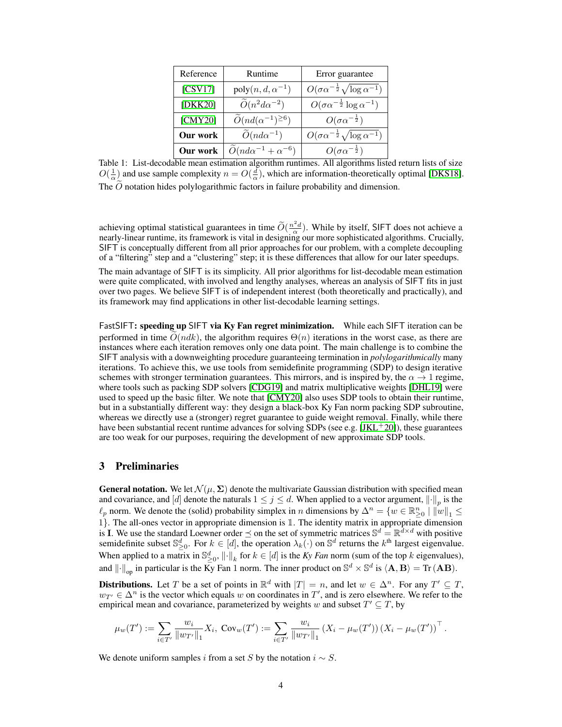<span id="page-3-0"></span>

| Reference | Runtime                                      | Error guarantee                                           |
|-----------|----------------------------------------------|-----------------------------------------------------------|
| [CSV17]   | $poly(n, d, \alpha^{-1})$                    | $O(\sigma \alpha^{-\frac{1}{2}} \sqrt{\log \alpha^{-1}})$ |
| [DKK20]   | $\widetilde{O}(n^2d\alpha^{-2})$             | $O(\sigma \alpha^{-\frac{1}{2}} \log \alpha^{-1})$        |
| [CMY20]   | $\widetilde{O}(nd(\alpha^{-1})^{\geq 6})$    | $O(\sigma\alpha^{-\frac{1}{2}})$                          |
| Our work  | $\widetilde{O}(nd\alpha^{-1})$               | $O(\sigma \alpha^{-\frac{1}{2}} \sqrt{\log \alpha^{-1}})$ |
| Our work  | $\widetilde{O}(nd\alpha^{-1} + \alpha^{-6})$ | $O(\sigma\alpha^{-\frac{1}{2}})$                          |

Table 1: List-decodable mean estimation algorithm runtimes. All algorithms listed return lists of size  $O(\frac{1}{\alpha})$  and use sample complexity  $n = O(\frac{d}{\alpha})$ , which are information-theoretically optimal [\[DKS18\]](#page-10-8). The  $O$  notation hides polylogarithmic factors in failure probability and dimension.

achieving optimal statistical guarantees in time  $\widetilde{O}(\frac{n^2d}{\alpha})$ . While by itself, SIFT does not achieve a nearly-linear runtime, its framework is vital in designing our more sophisticated algorithms. Crucially, SIFT is conceptually different from all prior approaches for our problem, with a complete decoupling of a "filtering" step and a "clustering" step; it is these differences that allow for our later speedups.

The main advantage of SIFT is its simplicity. All prior algorithms for list-decodable mean estimation were quite complicated, with involved and lengthy analyses, whereas an analysis of SIFT fits in just over two pages. We believe SIFT is of independent interest (both theoretically and practically), and its framework may find applications in other list-decodable learning settings.

FastSIFT: speeding up SIFT via Ky Fan regret minimization. While each SIFT iteration can be performed in time  $O(ndk)$ , the algorithm requires  $\Theta(n)$  iterations in the worst case, as there are instances where each iteration removes only one data point. The main challenge is to combine the SIFT analysis with a downweighting procedure guaranteeing termination in *polylogarithmically* many iterations. To achieve this, we use tools from semidefinite programming (SDP) to design iterative schemes with stronger termination guarantees. This mirrors, and is inspired by, the  $\alpha \rightarrow 1$  regime, where tools such as packing SDP solvers [\[CDG19\]](#page-10-10) and matrix multiplicative weights [\[DHL19\]](#page-10-11) were used to speed up the basic filter. We note that [\[CMY20\]](#page-10-2) also uses SDP tools to obtain their runtime, but in a substantially different way: they design a black-box Ky Fan norm packing SDP subroutine, whereas we directly use a (stronger) regret guarantee to guide weight removal. Finally, while there have been substantial recent runtime advances for solving SDPs (see e.g.  $[JKL+20]$  $[JKL+20]$ ), these guarantees are too weak for our purposes, requiring the development of new approximate SDP tools.

## 3 Preliminaries

**General notation.** We let  $\mathcal{N}(\mu, \Sigma)$  denote the multivariate Gaussian distribution with specified mean and covariance, and [d] denote the naturals  $1 \leq j \leq d$ . When applied to a vector argument,  $\left\| \cdot \right\|_p$  is the  $\ell_p$  norm. We denote the (solid) probability simplex in n dimensions by  $\Delta^n = \{w \in \mathbb{R}^n_{\geq 0} \mid \|\omega\|_1 \leq$ 1}. The all-ones vector in appropriate dimension is 1. The identity matrix in appropriate dimension is **I**. We use the standard Loewner order  $\leq$  on the set of symmetric matrices  $\mathbb{S}^d = \mathbb{R}^d \times d$  with positive semidefinite subset  $\mathbb{S}_{\geq 0}^d$ . For  $k \in [d]$ , the operation  $\lambda_k(\cdot)$  on  $\mathbb{S}^d$  returns the  $k^{\text{th}}$  largest eigenvalue. When applied to a matrix in  $\mathbb{S}^d_{\geq 0}$ ,  $\|\cdot\|_k$  for  $k \in [d]$  is the *Ky Fan* norm (sum of the top k eigenvalues), and  $\left\|\cdot\right\|_{\text{op}}$  in particular is the  $\bar{K_y}$  Fan 1 norm. The inner product on  $\mathbb{S}^d \times \mathbb{S}^d$  is  $\langle \mathbf{A}, \mathbf{B} \rangle = \text{Tr}(\mathbf{A}\mathbf{B})$ .

**Distributions.** Let T be a set of points in  $\mathbb{R}^d$  with  $|T| = n$ , and let  $w \in \Delta^n$ . For any  $T' \subseteq T$ ,  $w_{T'} \in \Delta^n$  is the vector which equals w on coordinates in T', and is zero elsewhere. We refer to the empirical mean and covariance, parameterized by weights w and subset  $T' \subseteq T$ , by

$$
\mu_w(T') := \sum_{i \in T'} \frac{w_i}{\|w_{T'}\|_1} X_i, \ \mathrm{Cov}_w(T') := \sum_{i \in T'} \frac{w_i}{\|w_{T'}\|_1} \left(X_i - \mu_w(T')\right) \left(X_i - \mu_w(T')\right)^\top.
$$

We denote uniform samples i from a set S by the notation  $i \sim S$ .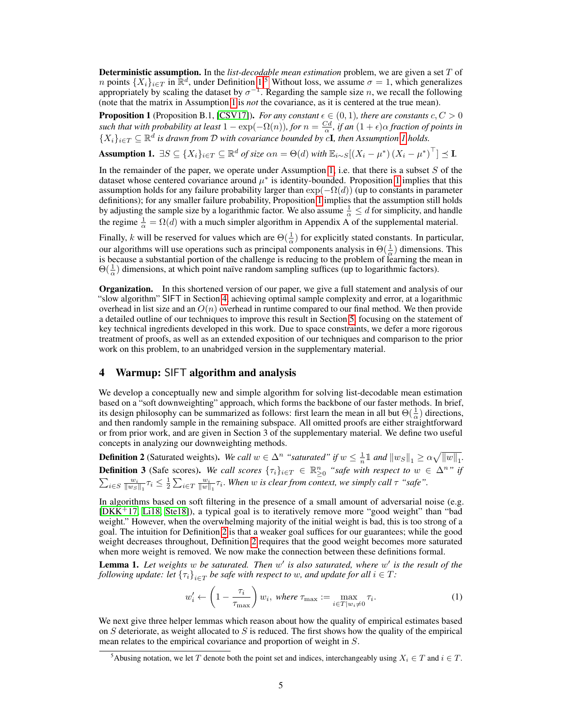Deterministic assumption. In the *list-decodable mean estimation* problem, we are given a set T of *n* points  $\{X_i\}_{i\in\mathcal{I}}$  in  $\mathbb{R}^d$ , under Definition [1.](#page-2-0)<sup>[5](#page-4-0)</sup> Without loss, we assume  $\sigma = 1$ , which generalizes appropriately by scaling the dataset by  $\sigma^{-1}$ . Regarding the sample size n, we recall the following (note that the matrix in Assumption [1](#page-4-1) is *not* the covariance, as it is centered at the true mean).

<span id="page-4-2"></span>**Proposition 1** (Proposition B.1, [\[CSV17\]](#page-10-0)). *For any constant*  $\epsilon \in (0,1)$ *, there are constants*  $c, C > 0$ such that with probability at least  $1 - \exp(-\Omega(n))$ , for  $n = \frac{Cd}{\alpha}$ , if an  $(1 + \epsilon)\alpha$  fraction of points in  $\{X_i\}_{i\in\mathcal{T}}\subseteq\mathbb{R}^d$  is drawn from D with covariance bounded by cI, then Assumption [1](#page-4-1) holds.

<span id="page-4-1"></span>Assumption 1.  $\exists S \subseteq \{X_i\}_{i \in T} \subseteq \mathbb{R}^d$  of size  $\alpha n = \Theta(d)$  with  $\mathbb{E}_{i \sim S}[(X_i - \mu^*) (X_i - \mu^*)^\top] \preceq \mathbf{I}$ .

In the remainder of the paper, we operate under Assumption [1,](#page-4-1) i.e. that there is a subset  $S$  of the dataset whose centered covariance around  $\mu^*$  is identity-bounded. Proposition [1](#page-4-2) implies that this assumption holds for any failure probability larger than  $\exp(-\Omega(d))$  (up to constants in parameter definitions); for any smaller failure probability, Proposition [1](#page-4-2) implies that the assumption still holds by adjusting the sample size by a logarithmic factor. We also assume  $\frac{1}{\alpha} \le d$  for simplicity, and handle the regime  $\frac{1}{\alpha} = \Omega(d)$  with a much simpler algorithm in Appendix A of the supplemental material.

Finally, k will be reserved for values which are  $\Theta(\frac{1}{\alpha})$  for explicitly stated constants. In particular, our algorithms will use operations such as principal components analysis in  $\Theta(\frac{1}{\alpha})$  dimensions. This is because a substantial portion of the challenge is reducing to the problem of learning the mean in  $\Theta(\frac{1}{\alpha})$  dimensions, at which point naïve random sampling suffices (up to logarithmic factors).

**Organization.** In this shortened version of our paper, we give a full statement and analysis of our "slow algorithm" SIFT in Section [4,](#page-4-3) achieving optimal sample complexity and error, at a logarithmic overhead in list size and an  $O(n)$  overhead in runtime compared to our final method. We then provide a detailed outline of our techniques to improve this result in Section [5,](#page-6-0) focusing on the statement of key technical ingredients developed in this work. Due to space constraints, we defer a more rigorous treatment of proofs, as well as an extended exposition of our techniques and comparison to the prior work on this problem, to an unabridged version in the supplementary material.

### <span id="page-4-3"></span>4 Warmup: SIFT algorithm and analysis

We develop a conceptually new and simple algorithm for solving list-decodable mean estimation based on a "soft downweighting" approach, which forms the backbone of our faster methods. In brief, its design philosophy can be summarized as follows: first learn the mean in all but  $\Theta(\frac{1}{\alpha})$  directions, and then randomly sample in the remaining subspace. All omitted proofs are either straightforward or from prior work, and are given in Section 3 of the supplementary material. We define two useful concepts in analyzing our downweighting methods.

<span id="page-4-6"></span><span id="page-4-4"></span>**Definition 2** (Saturated weights). We call  $w \in \Delta^n$  "saturated" if  $w \leq \frac{1}{n} \mathbb{1}$  and  $||w_S||_1 \geq \alpha \sqrt{||w||_1}$ . **Definition 3** (Safe scores). We call scores  $\{\tau_i\}_{i\in T} \in \mathbb{R}^n_{\geq 0}$  "safe with respect to  $w \in \Delta^n$ " if  $\sum_{i\in S}\frac{w_i}{\|w_S\|_1}\tau_i \leq \frac{1}{2}\sum_{i\in T}\frac{w_i}{\|w\|_1}\tau_i$ . When w is clear from context, we simply call  $\tau$  "safe".

In algorithms based on soft filtering in the presence of a small amount of adversarial noise (e.g. [\[DKK](#page-10-13)<sup>+</sup>17, [Li18,](#page-11-12) [Ste18\]](#page-12-4)), a typical goal is to iteratively remove more "good weight" than "bad weight." However, when the overwhelming majority of the initial weight is bad, this is too strong of a goal. The intuition for Definition [2](#page-4-4) is that a weaker goal suffices for our guarantees; while the good weight decreases throughout, Definition [2](#page-4-4) requires that the good weight becomes more saturated when more weight is removed. We now make the connection between these definitions formal.

Lemma 1. Let weights w be saturated. Then w' is also saturated, where w' is the result of the *following update: let*  $\{\tau_i\}_{i\in T}$  *be safe with respect to w, and update for all*  $i\in T$ *:* 

<span id="page-4-5"></span>
$$
w'_{i} \leftarrow \left(1 - \frac{\tau_{i}}{\tau_{\max}}\right) w_{i}, \text{ where } \tau_{\max} := \max_{i \in T | w_{i} \neq 0} \tau_{i}.
$$
 (1)

We next give three helper lemmas which reason about how the quality of empirical estimates based on  $S$  deteriorate, as weight allocated to  $S$  is reduced. The first shows how the quality of the empirical mean relates to the empirical covariance and proportion of weight in S.

<span id="page-4-0"></span><sup>&</sup>lt;sup>5</sup>Abusing notation, we let T denote both the point set and indices, interchangeably using  $X_i \in T$  and  $i \in T$ .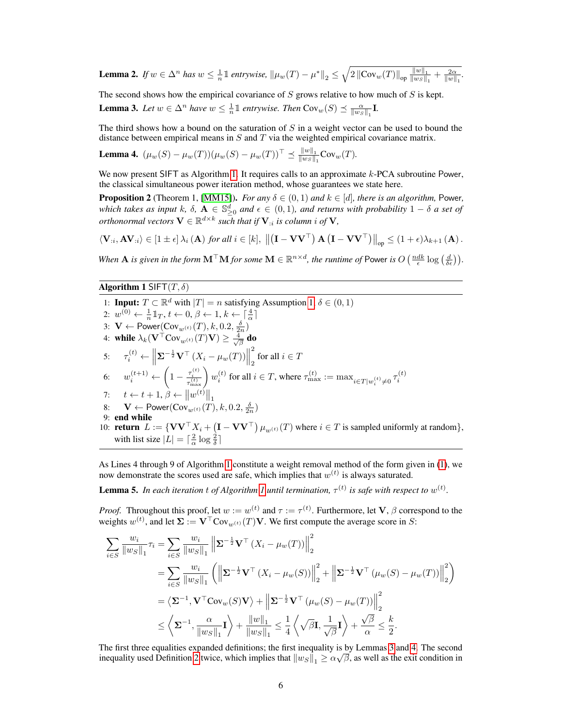<span id="page-5-5"></span>**Lemma 2.** If  $w \in \Delta^n$  has  $w \leq \frac{1}{n} \mathbb{1}$  entrywise,  $\|\mu_w(T) - \mu^*\|_2 \leq \sqrt{2 \|\text{Cov}_w(T)\|_{\text{op}} \frac{\|w\|_1}{\|w_S\|}}$  $\frac{\|w\|_1}{\|w_S\|_1} + \frac{2\alpha}{\|w\|_1}.$ 

<span id="page-5-1"></span>The second shows how the empirical covariance of  $S$  grows relative to how much of  $S$  is kept. **Lemma 3.** Let  $w \in \Delta^n$  have  $w \leq \frac{1}{n} \mathbb{1}$  entrywise. Then  $Cov_w(S) \preceq \frac{\alpha}{\|w_S\|_1} \mathbf{I}$ .

The third shows how a bound on the saturation of  $S$  in a weight vector can be used to bound the distance between empirical means in  $S$  and  $T$  via the weighted empirical covariance matrix.

<span id="page-5-2"></span>**Lemma 4.**  $(\mu_w(S) - \mu_w(T))(\mu_w(S) - \mu_w(T))^{\top} \preceq \frac{\|w\|_1}{\|w\|_2}$  $\frac{\|w\|_1}{\|w_S\|_1} \text{Cov}_w(T)$ .

We now present SIFT as Algorithm [1.](#page-5-0) It requires calls to an approximate  $k$ -PCA subroutine Power, the classical simultaneous power iteration method, whose guarantees we state here.

<span id="page-5-3"></span>**Proposition 2** (Theorem 1, [\[MM15\]](#page-11-13)). *For any*  $\delta \in (0,1)$  *and*  $k \in [d]$ *, there is an algorithm,* Power, *which takes as input* k,  $\delta$ ,  $\mathbf{A} \in \mathbb{S}_{\geq 0}^d$  and  $\epsilon \in (0,1)$ , and returns with probability  $1-\delta$  *a set of orthonormal vectors*  $\mathbf{V} \in \mathbb{R}^{d \times k}$  such that if  $\mathbf{V}_{:i}$  is column  $i$  of  $\mathbf{V}_{:i}$ 

$$
\langle \mathbf{V}_{:i}, \mathbf{A} \mathbf{V}_{:i} \rangle \in [1 \pm \epsilon] \, \lambda_i \left( \mathbf{A} \right) \, \text{for all } i \in [k], \, \left\| \left( \mathbf{I} - \mathbf{V} \mathbf{V}^\top \right) \mathbf{A} \left( \mathbf{I} - \mathbf{V} \mathbf{V}^\top \right) \right\|_{op} \leq (1 + \epsilon) \lambda_{k+1} \left( \mathbf{A} \right).
$$

*When* **A** *is given in the form*  $M^{\top}M$  *for some*  $M \in \mathbb{R}^{n \times d}$ , *the runtime of* Power *is*  $O\left(\frac{ndk}{\epsilon} \log\left(\frac{d}{\delta \epsilon}\right)\right)$ .

<span id="page-5-0"></span>Algorithm 1 SIFT $(T, \delta)$ 

1: **Input:**  $T \subset \mathbb{R}^d$  with  $|T| = n$  satisfying Assumption [1,](#page-4-1)  $\delta \in (0, 1)$ 2:  $w^{(0)} \leftarrow \frac{1}{n} \mathbb{1}_T, t \leftarrow 0, \beta \leftarrow 1, k \leftarrow \lceil \frac{4}{\alpha} \rceil$ 3:  $\mathbf{V} \leftarrow \mathsf{Power}(\mathsf{Cov}_{w^{(t)}}(T), k, 0.2, \frac{\delta}{2n})$ 4: while  $\lambda_k(\textbf{V}^\top \text{Cov}_{w^{(t)}}(T)\textbf{V}) \geq \frac{4}{\sqrt{\beta}}$  do 5:  $\tau_i^{(t)} \leftarrow \left\| \mathbf{\Sigma}^{-\frac{1}{2}} \mathbf{V}^\top \left( X_i - \mu_w(T) \right) \right\|$ 2 for all  $i \in T$ 6:  $w_i^{(t+1)} \leftarrow \left(1 - \frac{\tau_i^{(t)}}{\tau_{\text{max}}^{(t)}}\right) w_i^{(t)}$  for all  $i \in T$ , where  $\tau_{\text{max}}^{(t)} := \max_{i \in T | w_i^{(t)} \neq 0} \tau_i^{(t)}$ 7:  $t \leftarrow t + 1, \beta \leftarrow ||w^{(t)}||$ 8:  $\mathbf{V} \leftarrow \text{Power}(\text{Cov}_{w^{(t)}}(T), k, 0.2, \frac{\delta}{2n})$ 9: end while 10: **return**  $L := \{ \mathbf{V} \mathbf{V}^\top X_i + (\mathbf{I} - \mathbf{V} \mathbf{V}^\top) \mu_{w^{(t)}}(T) \text{ where } i \in T \text{ is sampled uniformly at random} \},$ with list size  $|L| = \lceil \frac{2}{\alpha} \log \frac{2}{\delta} \rceil$ 

As Lines 4 through 9 of Algorithm [1](#page-5-0) constitute a weight removal method of the form given in [\(1\)](#page-4-5), we now demonstrate the scores used are safe, which implies that  $w^{(t)}$  is always saturated.

<span id="page-5-4"></span>**Lemma 5.** In each iteration t of Algorithm [1](#page-5-0) until termination,  $\tau^{(t)}$  is safe with respect to  $w^{(t)}$ .

*Proof.* Throughout this proof, let  $w := w^{(t)}$  and  $\tau := \tau^{(t)}$ . Furthermore, let **V**,  $\beta$  correspond to the weights  $w^{(t)}$ , and let  $\Sigma := \mathbf{V}^\top \text{Cov}_{w^{(t)}}(T) \mathbf{V}$ . We first compute the average score in S:

$$
\sum_{i \in S} \frac{w_i}{\|w_S\|_1} \tau_i = \sum_{i \in S} \frac{w_i}{\|w_S\|_1} \left\| \Sigma^{-\frac{1}{2}} \mathbf{V}^\top (X_i - \mu_w(T)) \right\|_2^2
$$
\n
$$
= \sum_{i \in S} \frac{w_i}{\|w_S\|_1} \left( \left\| \Sigma^{-\frac{1}{2}} \mathbf{V}^\top (X_i - \mu_w(S)) \right\|_2^2 + \left\| \Sigma^{-\frac{1}{2}} \mathbf{V}^\top (\mu_w(S) - \mu_w(T)) \right\|_2^2 \right)
$$
\n
$$
= \left\langle \Sigma^{-1}, \mathbf{V}^\top \text{Cov}_w(S) \mathbf{V} \right\rangle + \left\| \Sigma^{-\frac{1}{2}} \mathbf{V}^\top (\mu_w(S) - \mu_w(T)) \right\|_2^2
$$
\n
$$
\leq \left\langle \Sigma^{-1}, \frac{\alpha}{\|w_S\|_1} \mathbf{I} \right\rangle + \frac{\|w\|_1}{\|w_S\|_1} \leq \frac{1}{4} \left\langle \sqrt{\beta} \mathbf{I}, \frac{1}{\sqrt{\beta}} \mathbf{I} \right\rangle + \frac{\sqrt{\beta}}{\alpha} \leq \frac{k}{2}.
$$

The first three equalities expanded definitions; the first inequality is by Lemmas [3](#page-5-1) and [4.](#page-5-2) The second inequality used Definition [2](#page-4-4) twice, which implies that  $\|w_S\|_1 \geq \alpha\sqrt{\beta}$ , as well as the exit condition in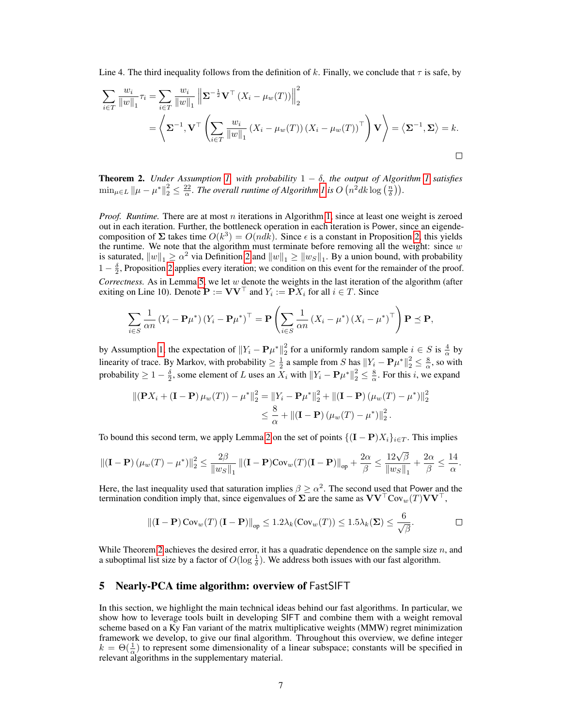Line 4. The third inequality follows from the definition of k. Finally, we conclude that  $\tau$  is safe, by

$$
\sum_{i \in T} \frac{w_i}{\|w\|_1} \tau_i = \sum_{i \in T} \frac{w_i}{\|w\|_1} \left\| \Sigma^{-\frac{1}{2}} \mathbf{V}^\top \left( X_i - \mu_w(T) \right) \right\|_2^2
$$
\n
$$
= \left\langle \Sigma^{-1}, \mathbf{V}^\top \left( \sum_{i \in T} \frac{w_i}{\|w\|_1} \left( X_i - \mu_w(T) \right) \left( X_i - \mu_w(T) \right)^\top \right) \mathbf{V} \right\rangle = \left\langle \Sigma^{-1}, \Sigma \right\rangle = k.
$$

<span id="page-6-1"></span>**Theorem 2.** *Under Assumption [1,](#page-4-1) with probability*  $1 - \delta$ *, the output of Algorithm [1](#page-5-0) satisfies*  $\min_{\mu \in L} ||\mu - \mu^*||_2^2 \leq \frac{22}{\alpha}$ . The overall runtime of Algorithm [1](#page-5-0) is  $O(n^2 d k \log(\frac{n}{\delta}))$ .

*Proof. Runtime.* There are at most n iterations in Algorithm [1,](#page-5-0) since at least one weight is zeroed out in each iteration. Further, the bottleneck operation in each iteration is Power, since an eigendecomposition of  $\Sigma$  takes time  $O(k^3) = O(nd\bar{k})$ . Since  $\epsilon$  is a constant in Proposition [2,](#page-5-3) this yields the runtime. We note that the algorithm must terminate before removing all the weight: since  $w$ is saturated,  $||w||_1 \ge \alpha^2$  via Definition [2](#page-4-4) and  $||w||_1 \ge ||w_S||_1$ . By a union bound, with probability  $1 - \frac{\delta}{2}$ , Proposition [2](#page-5-3) applies every iteration; we condition on this event for the remainder of the proof. *Correctness.* As in Lemma [5,](#page-5-4) we let  $w$  denote the weights in the last iteration of the algorithm (after exiting on Line 10). Denote  $\mathbf{P} := \mathbf{V}\mathbf{V}^\top$  and  $Y_i := \mathbf{P}X_i$  for all  $i \in T$ . Since

$$
\sum_{i \in S} \frac{1}{\alpha n} \left( Y_i - \mathbf{P} \mu^* \right) \left( Y_i - \mathbf{P} \mu^* \right)^\top = \mathbf{P} \left( \sum_{i \in S} \frac{1}{\alpha n} \left( X_i - \mu^* \right) \left( X_i - \mu^* \right)^\top \right) \mathbf{P} \preceq \mathbf{P},
$$

by Assumption [1,](#page-4-1) the expectation of  $||Y_i - P\mu^*||_2^2$  for a uniformly random sample  $i \in S$  is  $\frac{4}{\alpha}$  by linearity of trace. By Markov, with probability  $\geq \frac{1}{2}$  a sample from S has  $||Y_i - P\mu^*||_2^2 \leq \frac{8}{\alpha}$ , so with probability  $\geq 1-\frac{\delta}{2}$ , some element of L uses an  $X_i$  with  $||Y_i - \mathbf{P}\mu^*||_2^2 \leq \frac{8}{\alpha}$ . For this i, we expand

$$
\|(\mathbf{P}X_i + (\mathbf{I} - \mathbf{P})\mu_w(T)) - \mu^*\|_2^2 = \|Y_i - \mathbf{P}\mu^*\|_2^2 + \|(\mathbf{I} - \mathbf{P})(\mu_w(T) - \mu^*)\|_2^2
$$
  

$$
\leq \frac{8}{\alpha} + \|(\mathbf{I} - \mathbf{P})(\mu_w(T) - \mu^*)\|_2^2.
$$

To bound this second term, we apply Lemma [2](#page-5-5) on the set of points  $\{({\bf I} - {\bf P})X_i\}_{i \in T}$ . This implies

$$
\left\| \left( \mathbf{I} - \mathbf{P} \right) \left( \mu_w(T) - \mu^* \right) \right\|_2^2 \le \frac{2\beta}{\left\| w_S \right\|_1} \left\| (\mathbf{I} - \mathbf{P}) \text{Cov}_w(T) (\mathbf{I} - \mathbf{P}) \right\|_{op} + \frac{2\alpha}{\beta} \le \frac{12\sqrt{\beta}}{\left\| w_S \right\|_1} + \frac{2\alpha}{\beta} \le \frac{14}{\alpha}.
$$

Here, the last inequality used that saturation implies  $\beta \geq \alpha^2$ . The second used that Power and the termination condition imply that, since eigenvalues of  $\sum$  are the same as  $VV^\top Cov_w(T)VV^\top$ ,

$$
\|(\mathbf{I}-\mathbf{P})\operatorname{Cov}_{w}(T)(\mathbf{I}-\mathbf{P})\|_{\text{op}} \leq 1.2\lambda_{k}(\operatorname{Cov}_{w}(T)) \leq 1.5\lambda_{k}(\boldsymbol{\Sigma}) \leq \frac{6}{\sqrt{\beta}}.
$$

While Theorem [2](#page-6-1) achieves the desired error, it has a quadratic dependence on the sample size  $n$ , and a suboptimal list size by a factor of  $O(\log \frac{1}{\delta})$ . We address both issues with our fast algorithm.

#### <span id="page-6-0"></span>5 Nearly-PCA time algorithm: overview of FastSIFT

In this section, we highlight the main technical ideas behind our fast algorithms. In particular, we show how to leverage tools built in developing SIFT and combine them with a weight removal scheme based on a Ky Fan variant of the matrix multiplicative weights (MMW) regret minimization framework we develop, to give our final algorithm. Throughout this overview, we define integer  $k = \Theta(\frac{1}{\alpha})$  to represent some dimensionality of a linear subspace; constants will be specified in relevant algorithms in the supplementary material.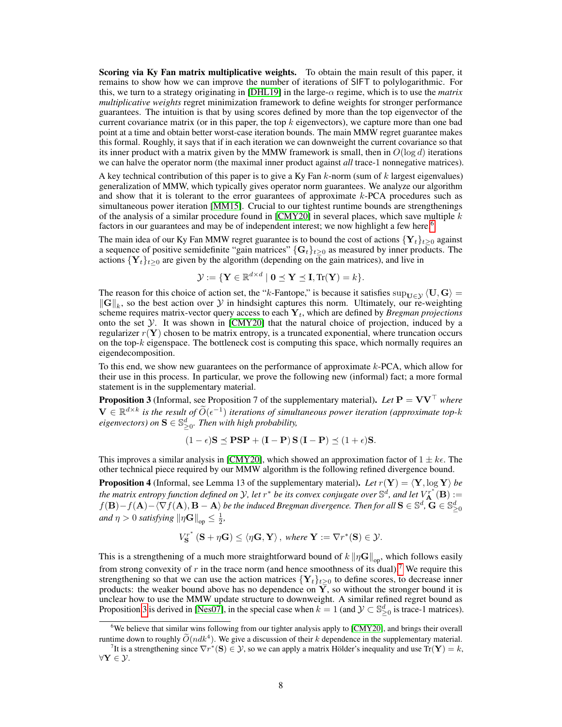Scoring via Ky Fan matrix multiplicative weights. To obtain the main result of this paper, it remains to show how we can improve the number of iterations of SIFT to polylogarithmic. For this, we turn to a strategy originating in [\[DHL19\]](#page-10-11) in the large- $\alpha$  regime, which is to use the *matrix multiplicative weights* regret minimization framework to define weights for stronger performance guarantees. The intuition is that by using scores defined by more than the top eigenvector of the current covariance matrix (or in this paper, the top  $k$  eigenvectors), we capture more than one bad point at a time and obtain better worst-case iteration bounds. The main MMW regret guarantee makes this formal. Roughly, it says that if in each iteration we can downweight the current covariance so that its inner product with a matrix given by the MMW framework is small, then in  $O(\log d)$  iterations we can halve the operator norm (the maximal inner product against *all* trace-1 nonnegative matrices).

A key technical contribution of this paper is to give a Ky Fan  $k$ -norm (sum of  $k$  largest eigenvalues) generalization of MMW, which typically gives operator norm guarantees. We analyze our algorithm and show that it is tolerant to the error guarantees of approximate  $k$ -PCA procedures such as simultaneous power iteration [\[MM15\]](#page-11-13). Crucial to our tightest runtime bounds are strengthenings of the analysis of a similar procedure found in [\[CMY20\]](#page-10-2) in several places, which save multiple  $k$ factors in our guarantees and may be of independent interest; we now highlight a few here.<sup>[6](#page-7-0)</sup>

The main idea of our Ky Fan MMW regret guarantee is to bound the cost of actions  $\{Y_t\}_{t\geq 0}$  against a sequence of positive semidefinite "gain matrices"  $\{G_t\}_{t\geq 0}$  as measured by inner products. The actions  $\{Y_t\}_{t\geq 0}$  are given by the algorithm (depending on the gain matrices), and live in

$$
\mathcal{Y} := \{ \mathbf{Y} \in \mathbb{R}^{d \times d} \mid \mathbf{0} \preceq \mathbf{Y} \preceq \mathbf{I}, \text{Tr}(\mathbf{Y}) = k \}.
$$

The reason for this choice of action set, the "k-Fantope," is because it satisfies  $\sup_{U\in\mathcal{Y}}\langle U, G\rangle =$  $\|\mathbf{G}\|_{k}$ , so the best action over  $\mathcal Y$  in hindsight captures this norm. Ultimately, our re-weighting scheme requires matrix-vector query access to each  $Y_t$ , which are defined by *Bregman projections* onto the set  $Y$ . It was shown in [\[CMY20\]](#page-10-2) that the natural choice of projection, induced by a regularizer  $r(Y)$  chosen to be matrix entropy, is a truncated exponential, where truncation occurs on the top- $k$  eigenspace. The bottleneck cost is computing this space, which normally requires an eigendecomposition.

To this end, we show new guarantees on the performance of approximate  $k$ -PCA, which allow for their use in this process. In particular, we prove the following new (informal) fact; a more formal statement is in the supplementary material.

<span id="page-7-2"></span>**Proposition 3** (Informal, see Proposition 7 of the supplementary material). Let  $P = VV^{\top}$  where  $\mathbf{V} \in \mathbb{R}^{d \times k}$  is the result of  $\widetilde{O}(\epsilon^{-1})$  iterations of simultaneous power iteration (approximate top-k  $eigenvectors)$  on  $S \in \mathbb{S}^d_{\geq 0}$ . Then with high probability,

$$
(1 - \epsilon)S \preceq \mathbf{PSP} + (\mathbf{I} - \mathbf{P})S(\mathbf{I} - \mathbf{P}) \preceq (1 + \epsilon)S.
$$

This improves a similar analysis in [\[CMY20\]](#page-10-2), which showed an approximation factor of  $1 \pm k\epsilon$ . The other technical piece required by our MMW algorithm is the following refined divergence bound.

**Proposition 4** (Informal, see Lemma 13 of the supplementary material). Let  $r(Y) = \langle Y, \log Y \rangle$  be the matrix entropy function defined on Y, let  $r^*$  be its convex conjugate over  $\mathbb{S}^d$ , and let  $V_{\bf A}^{r^*}({\bf B}) :=$  $f(\mathbf{B}) - f(\mathbf{A}) - \langle \nabla f(\mathbf{A}), \mathbf{B - A} \rangle$  be the induced Bregman divergence. Then for all  $\mathbf{S} \in \mathbb{S}^d$  ,  $\mathbf{\overline{G}} \in \mathbb{S}^d_{\geq 0}$ *and*  $\eta > 0$  *satisfying*  $\|\eta \mathbf{G}\|_{op} \leq \frac{1}{2}$ ,

$$
V_{\mathbf{S}}^{r^*}(\mathbf{S} + \eta \mathbf{G}) \le \langle \eta \mathbf{G}, \mathbf{Y} \rangle, \text{ where } \mathbf{Y} := \nabla r^*(\mathbf{S}) \in \mathcal{Y}.
$$

This is a strengthening of a much more straightforward bound of  $k \| \eta \mathbf{G} \|_{op}$ , which follows easily from strong convexity of  $r$  in the trace norm (and hence smoothness of its dual).<sup>[7](#page-7-1)</sup> We require this strengthening so that we can use the action matrices  ${Y_t}_{t\geq 0}$  to define scores, to decrease inner products: the weaker bound above has no dependence on  $\overline{Y}$ , so without the stronger bound it is unclear how to use the MMW update structure to downweight. A similar refined regret bound as Proposition [3](#page-7-2) is derived in [\[Nes07\]](#page-11-14), in the special case when  $k = 1$  (and  $\mathcal{Y} \subset \mathbb{S}^d_{\geq 0}$  is trace-1 matrices).

<span id="page-7-0"></span><sup>6</sup>We believe that similar wins following from our tighter analysis apply to [\[CMY20\]](#page-10-2), and brings their overall runtime down to roughly  $\widetilde{O}(ndk^4)$ . We give a discussion of their k dependence in the supplementary material.

<span id="page-7-1"></span><sup>&</sup>lt;sup>7</sup>It is a strengthening since  $\nabla r^*(\mathbf{S}) \in \mathcal{Y}$ , so we can apply a matrix Hölder's inequality and use  $\text{Tr}(\mathbf{Y}) = k$ ,  $\forall \mathbf{Y} \in \mathcal{Y}$ .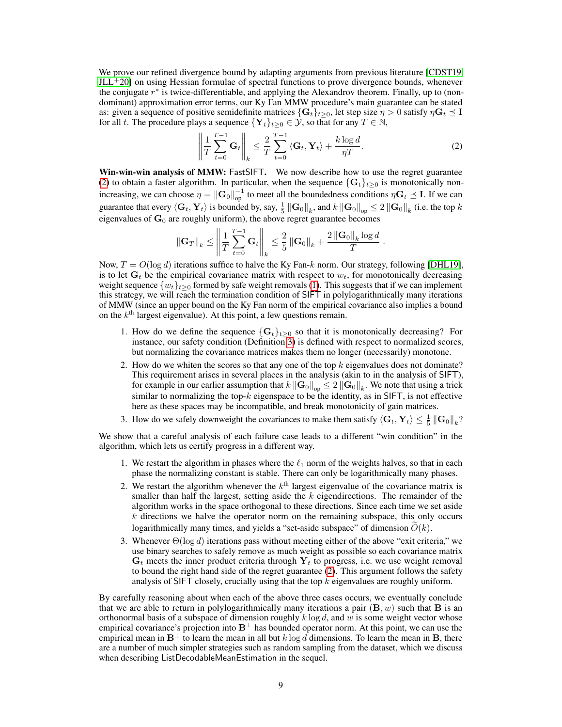We prove our refined divergence bound by adapting arguments from previous literature [\[CDST19,](#page-10-14)  $JLL+20$  $JLL+20$  on using Hessian formulae of spectral functions to prove divergence bounds, whenever the conjugate  $r^*$  is twice-differentiable, and applying the Alexandrov theorem. Finally, up to (nondominant) approximation error terms, our Ky Fan MMW procedure's main guarantee can be stated as: given a sequence of positive semidefinite matrices  $\{G_t\}_{t>0}$ , let step size  $\eta > 0$  satisfy  $\eta G_t \leq I$ for all t. The procedure plays a sequence  $\{Y_t\}_{t>0} \in \mathcal{Y}$ , so that for any  $T \in \mathbb{N}$ ,

<span id="page-8-0"></span>
$$
\left\| \frac{1}{T} \sum_{t=0}^{T-1} \mathbf{G}_t \right\|_k \leq \frac{2}{T} \sum_{t=0}^{T-1} \left\langle \mathbf{G}_t, \mathbf{Y}_t \right\rangle + \frac{k \log d}{\eta T}.
$$
 (2)

Win-win-win analysis of MMW: FastSIFT. We now describe how to use the regret guarantee [\(2\)](#page-8-0) to obtain a faster algorithm. In particular, when the sequence  $\{G_t\}_{t\geq 0}$  is monotonically nonincreasing, we can choose  $\eta = \|G_0\|_{op}^{-1}$  to meet all the boundedness conditions  $\eta G_t \leq I$ . If we can guarantee that every  $\langle G_t, Y_t \rangle$  is bounded by, say,  $\frac{1}{5} \left\| G_0 \right\|_k$ , and  $k \left\| G_0 \right\|_{\text{op}} \leq 2 \left\| G_0 \right\|_k$  (i.e. the top  $k$ eigenvalues of  $G_0$  are roughly uniform), the above regret guarantee becomes

$$
\|\mathbf{G}_T\|_k \le \left\|\frac{1}{T}\sum_{t=0}^{T-1}\mathbf{G}_t\right\|_k \le \frac{2}{5}\left\|\mathbf{G}_0\right\|_k + \frac{2\left\|\mathbf{G}_0\right\|_k\log d}{T}.
$$

Now,  $T = O(\log d)$  iterations suffice to halve the Ky Fan-k norm. Our strategy, following [\[DHL19\]](#page-10-11), is to let  $G_t$  be the empirical covariance matrix with respect to  $w_t$ , for monotonically decreasing weight sequence  $\{w_t\}_{t>0}$  formed by safe weight removals [\(1\)](#page-4-5). This suggests that if we can implement this strategy, we will reach the termination condition of SIFT in polylogarithmically many iterations of MMW (since an upper bound on the Ky Fan norm of the empirical covariance also implies a bound on the  $k<sup>th</sup>$  largest eigenvalue). At this point, a few questions remain.

- 1. How do we define the sequence  $\{G_t\}_{t\geq 0}$  so that it is monotonically decreasing? For instance, our safety condition (Definition [3\)](#page-4-6) is defined with respect to normalized scores, but normalizing the covariance matrices makes them no longer (necessarily) monotone.
- 2. How do we whiten the scores so that any one of the top  $k$  eigenvalues does not dominate? This requirement arises in several places in the analysis (akin to in the analysis of SIFT), for example in our earlier assumption that  $k\left\|{\bf G}_0\right\|_{\sf op}\leq 2\left\|{\bf G}_0\right\|_k.$  We note that using a trick similar to normalizing the top- $k$  eigenspace to be the identity, as in SIFT, is not effective here as these spaces may be incompatible, and break monotonicity of gain matrices.
- 3. How do we safely downweight the covariances to make them satisfy  $\langle G_t, Y_t \rangle \leq \frac{1}{5} ||G_0||_k$ ?

We show that a careful analysis of each failure case leads to a different "win condition" in the algorithm, which lets us certify progress in a different way.

- 1. We restart the algorithm in phases where the  $\ell_1$  norm of the weights halves, so that in each phase the normalizing constant is stable. There can only be logarithmically many phases.
- 2. We restart the algorithm whenever the  $k<sup>th</sup>$  largest eigenvalue of the covariance matrix is smaller than half the largest, setting aside the  $k$  eigendirections. The remainder of the algorithm works in the space orthogonal to these directions. Since each time we set aside  $k$  directions we halve the operator norm on the remaining subspace, this only occurs logarithmically many times, and yields a "set-aside subspace" of dimension  $\tilde{O}(k)$ .
- 3. Whenever  $\Theta(\log d)$  iterations pass without meeting either of the above "exit criteria," we use binary searches to safely remove as much weight as possible so each covariance matrix  $G_t$  meets the inner product criteria through  $Y_t$  to progress, i.e. we use weight removal to bound the right hand side of the regret guarantee [\(2\)](#page-8-0). This argument follows the safety analysis of SIFT closely, crucially using that the top  $k$  eigenvalues are roughly uniform.

By carefully reasoning about when each of the above three cases occurs, we eventually conclude that we are able to return in polylogarithmically many iterations a pair  $(\mathbf{B}, w)$  such that **B** is an orthonormal basis of a subspace of dimension roughly  $k \log d$ , and w is some weight vector whose empirical covariance's projection into  $B^{\perp}$  has bounded operator norm. At this point, we can use the empirical mean in  $B^{\perp}$  to learn the mean in all but k log d dimensions. To learn the mean in B, there are a number of much simpler strategies such as random sampling from the dataset, which we discuss when describing ListDecodableMeanEstimation in the sequel.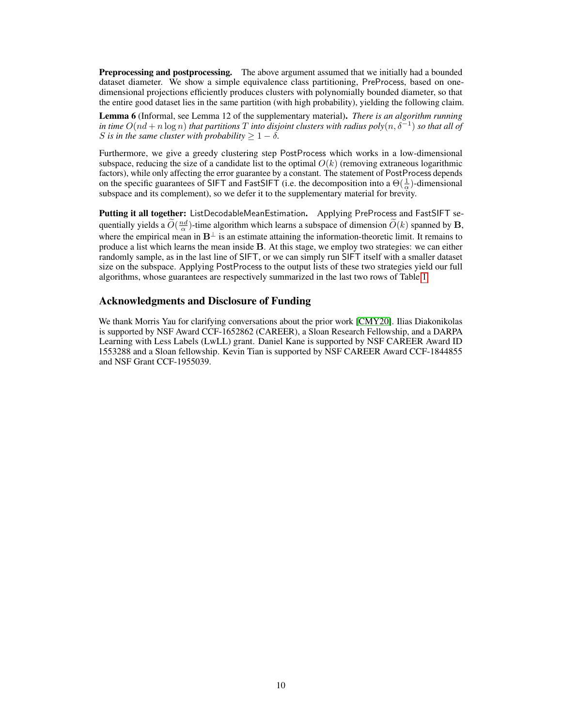**Preprocessing and postprocessing.** The above argument assumed that we initially had a bounded dataset diameter. We show a simple equivalence class partitioning, PreProcess, based on onedimensional projections efficiently produces clusters with polynomially bounded diameter, so that the entire good dataset lies in the same partition (with high probability), yielding the following claim.

Lemma 6 (Informal, see Lemma 12 of the supplementary material). *There is an algorithm running in time*  $O(nd + n \log n)$  *that partitions*  $T$  *into disjoint clusters with radius*  $poly(n, \delta^{-1})$  *so that all of* S is in the same cluster with probability  $> 1 - \delta$ .

Furthermore, we give a greedy clustering step PostProcess which works in a low-dimensional subspace, reducing the size of a candidate list to the optimal  $O(k)$  (removing extraneous logarithmic factors), while only affecting the error guarantee by a constant. The statement of PostProcess depends on the specific guarantees of SIFT and FastSIFT (i.e. the decomposition into a  $\Theta(\frac{1}{\alpha})$ -dimensional subspace and its complement), so we defer it to the supplementary material for brevity.

Putting it all together: ListDecodableMeanEstimation. Applying PreProcess and FastSIFT sequentially yields a  $\widetilde{O}(\frac{nd}{\alpha})$ -time algorithm which learns a subspace of dimension  $\widetilde{O}(k)$  spanned by **B**, where the empirical mean in  $B^{\perp}$  is an estimate attaining the information-theoretic limit. It remains to produce a list which learns the mean inside B. At this stage, we employ two strategies: we can either randomly sample, as in the last line of SIFT, or we can simply run SIFT itself with a smaller dataset size on the subspace. Applying PostProcess to the output lists of these two strategies yield our full algorithms, whose guarantees are respectively summarized in the last two rows of Table [1.](#page-3-0)

## Acknowledgments and Disclosure of Funding

We thank Morris Yau for clarifying conversations about the prior work [\[CMY20\]](#page-10-2). Ilias Diakonikolas is supported by NSF Award CCF-1652862 (CAREER), a Sloan Research Fellowship, and a DARPA Learning with Less Labels (LwLL) grant. Daniel Kane is supported by NSF CAREER Award ID 1553288 and a Sloan fellowship. Kevin Tian is supported by NSF CAREER Award CCF-1844855 and NSF Grant CCF-1955039.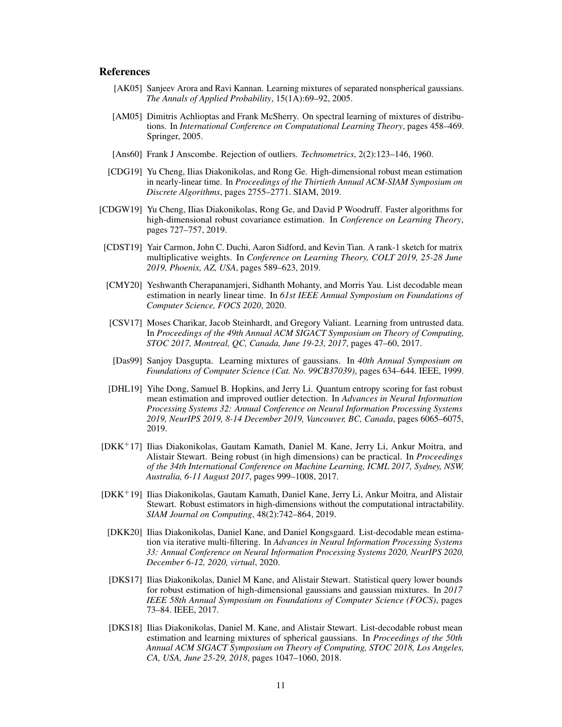### References

- <span id="page-10-7"></span>[AK05] Sanjeev Arora and Ravi Kannan. Learning mixtures of separated nonspherical gaussians. *The Annals of Applied Probability*, 15(1A):69–92, 2005.
- <span id="page-10-6"></span>[AM05] Dimitris Achlioptas and Frank McSherry. On spectral learning of mixtures of distributions. In *International Conference on Computational Learning Theory*, pages 458–469. Springer, 2005.
- <span id="page-10-3"></span>[Ans60] Frank J Anscombe. Rejection of outliers. *Technometrics*, 2(2):123–146, 1960.
- <span id="page-10-10"></span>[CDG19] Yu Cheng, Ilias Diakonikolas, and Rong Ge. High-dimensional robust mean estimation in nearly-linear time. In *Proceedings of the Thirtieth Annual ACM-SIAM Symposium on Discrete Algorithms*, pages 2755–2771. SIAM, 2019.
- <span id="page-10-12"></span>[CDGW19] Yu Cheng, Ilias Diakonikolas, Rong Ge, and David P Woodruff. Faster algorithms for high-dimensional robust covariance estimation. In *Conference on Learning Theory*, pages 727–757, 2019.
- <span id="page-10-14"></span>[CDST19] Yair Carmon, John C. Duchi, Aaron Sidford, and Kevin Tian. A rank-1 sketch for matrix multiplicative weights. In *Conference on Learning Theory, COLT 2019, 25-28 June 2019, Phoenix, AZ, USA*, pages 589–623, 2019.
- <span id="page-10-2"></span>[CMY20] Yeshwanth Cherapanamjeri, Sidhanth Mohanty, and Morris Yau. List decodable mean estimation in nearly linear time. In *61st IEEE Annual Symposium on Foundations of Computer Science, FOCS 2020*, 2020.
- <span id="page-10-0"></span>[CSV17] Moses Charikar, Jacob Steinhardt, and Gregory Valiant. Learning from untrusted data. In *Proceedings of the 49th Annual ACM SIGACT Symposium on Theory of Computing, STOC 2017, Montreal, QC, Canada, June 19-23, 2017*, pages 47–60, 2017.
- <span id="page-10-5"></span>[Das99] Sanjoy Dasgupta. Learning mixtures of gaussians. In *40th Annual Symposium on Foundations of Computer Science (Cat. No. 99CB37039)*, pages 634–644. IEEE, 1999.
- <span id="page-10-11"></span>[DHL19] Yihe Dong, Samuel B. Hopkins, and Jerry Li. Quantum entropy scoring for fast robust mean estimation and improved outlier detection. In *Advances in Neural Information Processing Systems 32: Annual Conference on Neural Information Processing Systems 2019, NeurIPS 2019, 8-14 December 2019, Vancouver, BC, Canada*, pages 6065–6075, 2019.
- <span id="page-10-13"></span>[DKK<sup>+</sup>17] Ilias Diakonikolas, Gautam Kamath, Daniel M. Kane, Jerry Li, Ankur Moitra, and Alistair Stewart. Being robust (in high dimensions) can be practical. In *Proceedings of the 34th International Conference on Machine Learning, ICML 2017, Sydney, NSW, Australia, 6-11 August 2017*, pages 999–1008, 2017.
- <span id="page-10-4"></span>[DKK<sup>+</sup>19] Ilias Diakonikolas, Gautam Kamath, Daniel Kane, Jerry Li, Ankur Moitra, and Alistair Stewart. Robust estimators in high-dimensions without the computational intractability. *SIAM Journal on Computing*, 48(2):742–864, 2019.
- <span id="page-10-1"></span>[DKK20] Ilias Diakonikolas, Daniel Kane, and Daniel Kongsgaard. List-decodable mean estimation via iterative multi-filtering. In *Advances in Neural Information Processing Systems 33: Annual Conference on Neural Information Processing Systems 2020, NeurIPS 2020, December 6-12, 2020, virtual*, 2020.
- <span id="page-10-9"></span>[DKS17] Ilias Diakonikolas, Daniel M Kane, and Alistair Stewart. Statistical query lower bounds for robust estimation of high-dimensional gaussians and gaussian mixtures. In *2017 IEEE 58th Annual Symposium on Foundations of Computer Science (FOCS)*, pages 73–84. IEEE, 2017.
- <span id="page-10-8"></span>[DKS18] Ilias Diakonikolas, Daniel M. Kane, and Alistair Stewart. List-decodable robust mean estimation and learning mixtures of spherical gaussians. In *Proceedings of the 50th Annual ACM SIGACT Symposium on Theory of Computing, STOC 2018, Los Angeles, CA, USA, June 25-29, 2018*, pages 1047–1060, 2018.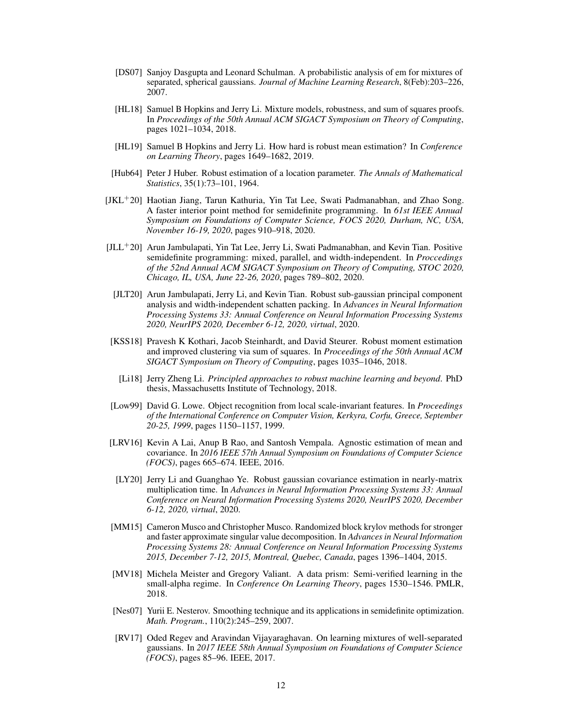- <span id="page-11-2"></span>[DS07] Sanjoy Dasgupta and Leonard Schulman. A probabilistic analysis of em for mixtures of separated, spherical gaussians. *Journal of Machine Learning Research*, 8(Feb):203–226, 2007.
- <span id="page-11-4"></span>[HL18] Samuel B Hopkins and Jerry Li. Mixture models, robustness, and sum of squares proofs. In *Proceedings of the 50th Annual ACM SIGACT Symposium on Theory of Computing*, pages 1021–1034, 2018.
- <span id="page-11-7"></span>[HL19] Samuel B Hopkins and Jerry Li. How hard is robust mean estimation? In *Conference on Learning Theory*, pages 1649–1682, 2019.
- <span id="page-11-0"></span>[Hub64] Peter J Huber. Robust estimation of a location parameter. *The Annals of Mathematical Statistics*, 35(1):73–101, 1964.
- <span id="page-11-11"></span>[JKL+20] Haotian Jiang, Tarun Kathuria, Yin Tat Lee, Swati Padmanabhan, and Zhao Song. A faster interior point method for semidefinite programming. In *61st IEEE Annual Symposium on Foundations of Computer Science, FOCS 2020, Durham, NC, USA, November 16-19, 2020*, pages 910–918, 2020.
- <span id="page-11-15"></span> $[JLL+20]$  Arun Jambulapati, Yin Tat Lee, Jerry Li, Swati Padmanabhan, and Kevin Tian. Positive semidefinite programming: mixed, parallel, and width-independent. In *Proccedings of the 52nd Annual ACM SIGACT Symposium on Theory of Computing, STOC 2020, Chicago, IL, USA, June 22-26, 2020*, pages 789–802, 2020.
- <span id="page-11-9"></span>[JLT20] Arun Jambulapati, Jerry Li, and Kevin Tian. Robust sub-gaussian principal component analysis and width-independent schatten packing. In *Advances in Neural Information Processing Systems 33: Annual Conference on Neural Information Processing Systems 2020, NeurIPS 2020, December 6-12, 2020, virtual*, 2020.
- <span id="page-11-5"></span>[KSS18] Pravesh K Kothari, Jacob Steinhardt, and David Steurer. Robust moment estimation and improved clustering via sum of squares. In *Proceedings of the 50th Annual ACM SIGACT Symposium on Theory of Computing*, pages 1035–1046, 2018.
	- [Li18] Jerry Zheng Li. *Principled approaches to robust machine learning and beyond*. PhD thesis, Massachusetts Institute of Technology, 2018.
- <span id="page-11-12"></span><span id="page-11-10"></span>[Low99] David G. Lowe. Object recognition from local scale-invariant features. In *Proceedings of the International Conference on Computer Vision, Kerkyra, Corfu, Greece, September 20-25, 1999*, pages 1150–1157, 1999.
- <span id="page-11-1"></span>[LRV16] Kevin A Lai, Anup B Rao, and Santosh Vempala. Agnostic estimation of mean and covariance. In *2016 IEEE 57th Annual Symposium on Foundations of Computer Science (FOCS)*, pages 665–674. IEEE, 2016.
- <span id="page-11-8"></span>[LY20] Jerry Li and Guanghao Ye. Robust gaussian covariance estimation in nearly-matrix multiplication time. In *Advances in Neural Information Processing Systems 33: Annual Conference on Neural Information Processing Systems 2020, NeurIPS 2020, December 6-12, 2020, virtual*, 2020.
- <span id="page-11-13"></span>[MM15] Cameron Musco and Christopher Musco. Randomized block krylov methods for stronger and faster approximate singular value decomposition. In *Advances in Neural Information Processing Systems 28: Annual Conference on Neural Information Processing Systems 2015, December 7-12, 2015, Montreal, Quebec, Canada*, pages 1396–1404, 2015.
- <span id="page-11-6"></span>[MV18] Michela Meister and Gregory Valiant. A data prism: Semi-verified learning in the small-alpha regime. In *Conference On Learning Theory*, pages 1530–1546. PMLR, 2018.
- <span id="page-11-14"></span>[Nes07] Yurii E. Nesterov. Smoothing technique and its applications in semidefinite optimization. *Math. Program.*, 110(2):245–259, 2007.
- <span id="page-11-3"></span>[RV17] Oded Regev and Aravindan Vijayaraghavan. On learning mixtures of well-separated gaussians. In *2017 IEEE 58th Annual Symposium on Foundations of Computer Science (FOCS)*, pages 85–96. IEEE, 2017.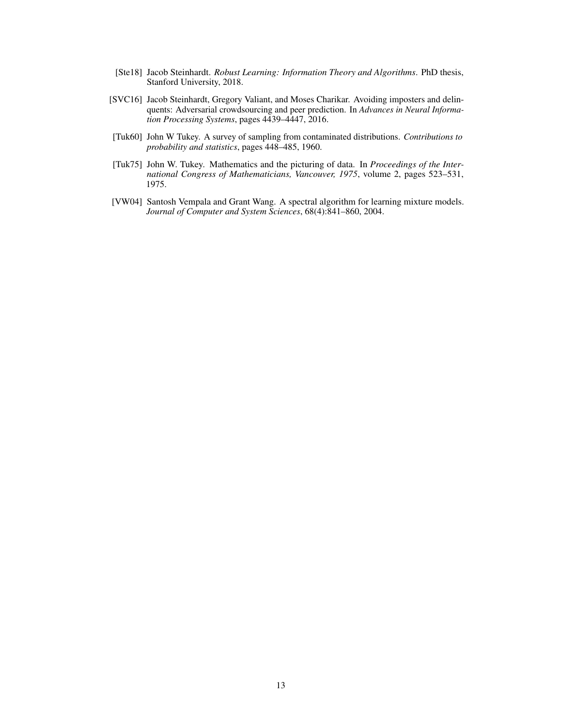- <span id="page-12-4"></span>[Ste18] Jacob Steinhardt. *Robust Learning: Information Theory and Algorithms*. PhD thesis, Stanford University, 2018.
- <span id="page-12-3"></span>[SVC16] Jacob Steinhardt, Gregory Valiant, and Moses Charikar. Avoiding imposters and delinquents: Adversarial crowdsourcing and peer prediction. In *Advances in Neural Information Processing Systems*, pages 4439–4447, 2016.
- <span id="page-12-0"></span>[Tuk60] John W Tukey. A survey of sampling from contaminated distributions. *Contributions to probability and statistics*, pages 448–485, 1960.
- <span id="page-12-1"></span>[Tuk75] John W. Tukey. Mathematics and the picturing of data. In *Proceedings of the International Congress of Mathematicians, Vancouver, 1975*, volume 2, pages 523–531, 1975.
- <span id="page-12-2"></span>[VW04] Santosh Vempala and Grant Wang. A spectral algorithm for learning mixture models. *Journal of Computer and System Sciences*, 68(4):841–860, 2004.